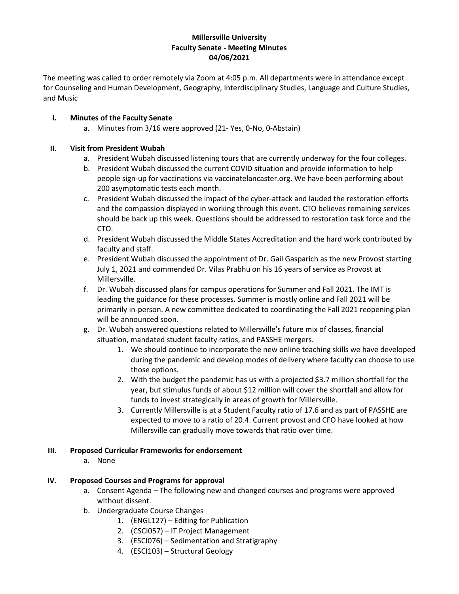## **Millersville University Faculty Senate - Meeting Minutes 04/06/2021**

The meeting was called to order remotely via Zoom at 4:05 p.m. All departments were in attendance except for Counseling and Human Development, Geography, Interdisciplinary Studies, Language and Culture Studies, and Music

# **I. Minutes of the Faculty Senate**

a. Minutes from 3/16 were approved (21- Yes, 0-No, 0-Abstain)

## **II. Visit from President Wubah**

- a. President Wubah discussed listening tours that are currently underway for the four colleges.
- b. President Wubah discussed the current COVID situation and provide information to help people sign-up for vaccinations via vaccinatelancaster.org. We have been performing about 200 asymptomatic tests each month.
- c. President Wubah discussed the impact of the cyber-attack and lauded the restoration efforts and the compassion displayed in working through this event. CTO believes remaining services should be back up this week. Questions should be addressed to restoration task force and the CTO.
- d. President Wubah discussed the Middle States Accreditation and the hard work contributed by faculty and staff.
- e. President Wubah discussed the appointment of Dr. Gail Gasparich as the new Provost starting July 1, 2021 and commended Dr. Vilas Prabhu on his 16 years of service as Provost at Millersville.
- f. Dr. Wubah discussed plans for campus operations for Summer and Fall 2021. The IMT is leading the guidance for these processes. Summer is mostly online and Fall 2021 will be primarily in-person. A new committee dedicated to coordinating the Fall 2021 reopening plan will be announced soon.
- g. Dr. Wubah answered questions related to Millersville's future mix of classes, financial situation, mandated student faculty ratios, and PASSHE mergers.
	- 1. We should continue to incorporate the new online teaching skills we have developed during the pandemic and develop modes of delivery where faculty can choose to use those options.
	- 2. With the budget the pandemic has us with a projected \$3.7 million shortfall for the year, but stimulus funds of about \$12 million will cover the shortfall and allow for funds to invest strategically in areas of growth for Millersville.
	- 3. Currently Millersville is at a Student Faculty ratio of 17.6 and as part of PASSHE are expected to move to a ratio of 20.4. Current provost and CFO have looked at how Millersville can gradually move towards that ratio over time.

## **III. Proposed Curricular Frameworks for endorsement**

a. None

# **IV. Proposed Courses and Programs for approval**

- a. Consent Agenda The following new and changed courses and programs were approved without dissent.
- b. Undergraduate Course Changes
	- 1. (ENGL127) Editing for Publication
	- 2. (CSCI057) IT Project Management
	- 3. (ESCI076) Sedimentation and Stratigraphy
	- 4. (ESCI103) Structural Geology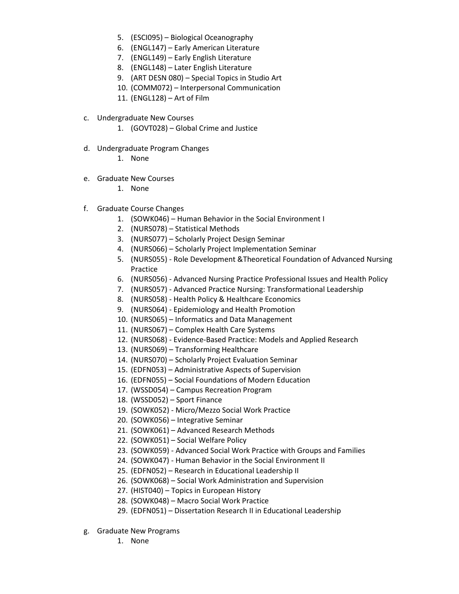- 5. (ESCI095) Biological Oceanography
- 6. (ENGL147) Early American Literature
- 7. (ENGL149) Early English Literature
- 8. (ENGL148) Later English Literature
- 9. (ART DESN 080) Special Topics in Studio Art
- 10. (COMM072) Interpersonal Communication
- 11. (ENGL128) Art of Film
- c. Undergraduate New Courses
	- 1. (GOVT028) Global Crime and Justice
- d. Undergraduate Program Changes
	- 1. None
- e. Graduate New Courses
	- 1. None
- f. Graduate Course Changes
	- 1. (SOWK046) Human Behavior in the Social Environment I
	- 2. (NURS078) Statistical Methods
	- 3. (NURS077) Scholarly Project Design Seminar
	- 4. (NURS066) Scholarly Project Implementation Seminar
	- 5. (NURS055) Role Development &Theoretical Foundation of Advanced Nursing Practice
	- 6. (NURS056) Advanced Nursing Practice Professional Issues and Health Policy
	- 7. (NURS057) Advanced Practice Nursing: Transformational Leadership
	- 8. (NURS058) Health Policy & Healthcare Economics
	- 9. (NURS064) Epidemiology and Health Promotion
	- 10. (NURS065) Informatics and Data Management
	- 11. (NURS067) Complex Health Care Systems
	- 12. (NURS068) Evidence-Based Practice: Models and Applied Research
	- 13. (NURS069) Transforming Healthcare
	- 14. (NURS070) Scholarly Project Evaluation Seminar
	- 15. (EDFN053) Administrative Aspects of Supervision
	- 16. (EDFN055) Social Foundations of Modern Education
	- 17. (WSSD054) Campus Recreation Program
	- 18. (WSSD052) Sport Finance
	- 19. (SOWK052) Micro/Mezzo Social Work Practice
	- 20. (SOWK056) Integrative Seminar
	- 21. (SOWK061) Advanced Research Methods
	- 22. (SOWK051) Social Welfare Policy
	- 23. (SOWK059) Advanced Social Work Practice with Groups and Families
	- 24. (SOWK047) Human Behavior in the Social Environment II
	- 25. (EDFN052) Research in Educational Leadership II
	- 26. (SOWK068) Social Work Administration and Supervision
	- 27. (HIST040) Topics in European History
	- 28. (SOWK048) Macro Social Work Practice
	- 29. (EDFN051) Dissertation Research II in Educational Leadership
- g. Graduate New Programs
	- 1. None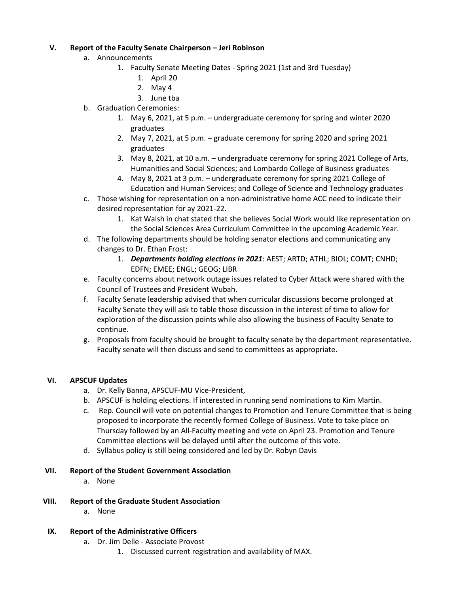## **V. Report of the Faculty Senate Chairperson – Jeri Robinson**

- a. Announcements
	- 1. Faculty Senate Meeting Dates Spring 2021 (1st and 3rd Tuesday)
		- 1. April 20
		- 2. May 4
		- 3. June tba
- b. Graduation Ceremonies:
	- 1. May 6, 2021, at 5 p.m. undergraduate ceremony for spring and winter 2020 graduates
	- 2. May 7, 2021, at 5 p.m. graduate ceremony for spring 2020 and spring 2021 graduates
	- 3. May 8, 2021, at 10 a.m. undergraduate ceremony for spring 2021 College of Arts, Humanities and Social Sciences; and Lombardo College of Business graduates
	- 4. May 8, 2021 at 3 p.m. undergraduate ceremony for spring 2021 College of Education and Human Services; and College of Science and Technology graduates
- c. Those wishing for representation on a non-administrative home ACC need to indicate their desired representation for ay 2021-22.
	- 1. Kat Walsh in chat stated that she believes Social Work would like representation on the Social Sciences Area Curriculum Committee in the upcoming Academic Year.
- d. The following departments should be holding senator elections and communicating any changes to Dr. Ethan Frost:
	- 1. *Departments holding elections in 2021*: AEST; ARTD; ATHL; BIOL; COMT; CNHD; EDFN; EMEE; ENGL; GEOG; LIBR
- e. Faculty concerns about network outage issues related to Cyber Attack were shared with the Council of Trustees and President Wubah.
- f. Faculty Senate leadership advised that when curricular discussions become prolonged at Faculty Senate they will ask to table those discussion in the interest of time to allow for exploration of the discussion points while also allowing the business of Faculty Senate to continue.
- g. Proposals from faculty should be brought to faculty senate by the department representative. Faculty senate will then discuss and send to committees as appropriate.

# **VI. APSCUF Updates**

- a. Dr. Kelly Banna, APSCUF-MU Vice-President,
- b. APSCUF is holding elections. If interested in running send nominations to Kim Martin.
- c. Rep. Council will vote on potential changes to Promotion and Tenure Committee that is being proposed to incorporate the recently formed College of Business. Vote to take place on Thursday followed by an All-Faculty meeting and vote on April 23. Promotion and Tenure Committee elections will be delayed until after the outcome of this vote.
- d. Syllabus policy is still being considered and led by Dr. Robyn Davis

## **VII. Report of the Student Government Association**

a. None

## **VIII. Report of the Graduate Student Association**

a. None

## **IX. Report of the Administrative Officers**

- a. Dr. Jim Delle Associate Provost
	- 1. Discussed current registration and availability of MAX.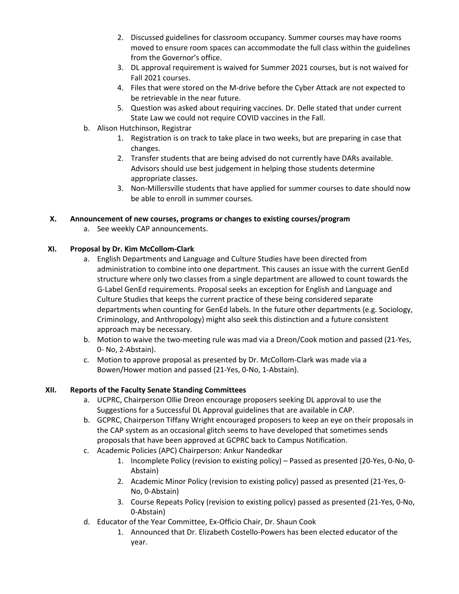- 2. Discussed guidelines for classroom occupancy. Summer courses may have rooms moved to ensure room spaces can accommodate the full class within the guidelines from the Governor's office.
- 3. DL approval requirement is waived for Summer 2021 courses, but is not waived for Fall 2021 courses.
- 4. Files that were stored on the M-drive before the Cyber Attack are not expected to be retrievable in the near future.
- 5. Question was asked about requiring vaccines. Dr. Delle stated that under current State Law we could not require COVID vaccines in the Fall.
- b. Alison Hutchinson, Registrar
	- 1. Registration is on track to take place in two weeks, but are preparing in case that changes.
	- 2. Transfer students that are being advised do not currently have DARs available. Advisors should use best judgement in helping those students determine appropriate classes.
	- 3. Non-Millersville students that have applied for summer courses to date should now be able to enroll in summer courses.

# **X. Announcement of new courses, programs or changes to existing courses/program**

a. See weekly CAP announcements.

# **XI. Proposal by Dr. Kim McCollom-Clark**

- a. English Departments and Language and Culture Studies have been directed from administration to combine into one department. This causes an issue with the current GenEd structure where only two classes from a single department are allowed to count towards the G-Label GenEd requirements. Proposal seeks an exception for English and Language and Culture Studies that keeps the current practice of these being considered separate departments when counting for GenEd labels. In the future other departments (e.g. Sociology, Criminology, and Anthropology) might also seek this distinction and a future consistent approach may be necessary.
- b. Motion to waive the two-meeting rule was mad via a Dreon/Cook motion and passed (21-Yes, 0- No, 2-Abstain).
- c. Motion to approve proposal as presented by Dr. McCollom-Clark was made via a Bowen/Hower motion and passed (21-Yes, 0-No, 1-Abstain).

# **XII. Reports of the Faculty Senate Standing Committees**

- a. UCPRC, Chairperson Ollie Dreon encourage proposers seeking DL approval to use the Suggestions for a Successful DL Approval guidelines that are available in CAP.
- b. GCPRC, Chairperson Tiffany Wright encouraged proposers to keep an eye on their proposals in the CAP system as an occasional glitch seems to have developed that sometimes sends proposals that have been approved at GCPRC back to Campus Notification.
- c. Academic Policies (APC) Chairperson: Ankur Nandedkar
	- 1. Incomplete Policy (revision to existing policy) Passed as presented (20-Yes, 0-No, 0- Abstain)
	- 2. Academic Minor Policy (revision to existing policy) passed as presented (21-Yes, 0- No, 0-Abstain)
	- 3. Course Repeats Policy (revision to existing policy) passed as presented (21-Yes, 0-No, 0-Abstain)
- d. Educator of the Year Committee, Ex-Officio Chair, Dr. Shaun Cook
	- 1. Announced that Dr. Elizabeth Costello-Powers has been elected educator of the year.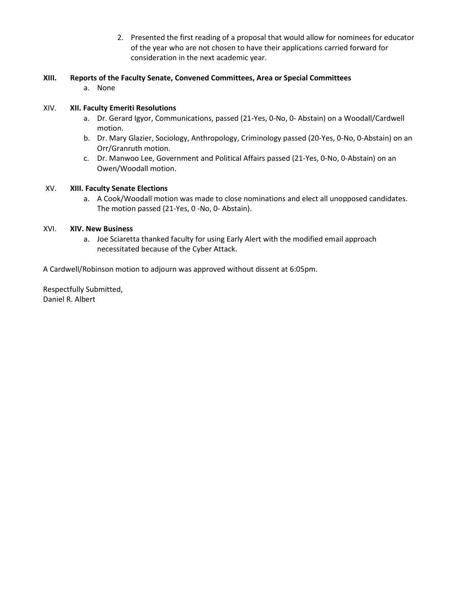- 2. Presented the first reading of a proposal that would allow for nominees for educator of the year who are not chosen to have their applications carried forward for consideration in the next academic year.
- **XIII. Reports of the Faculty Senate, Convened Committees, Area or Special Committees** 
	- a. None

## XIV. **XII. Faculty Emeriti Resolutions**

- a. Dr. Gerard Igyor, Communications, passed (21-Yes, 0-No, 0- Abstain) on a Woodall/Cardwell motion.
- b. Dr. Mary Glazier, Sociology, Anthropology, Criminology passed (20-Yes, 0-No, 0-Abstain) on an Orr/Granruth motion.
- c. Dr. Manwoo Lee, Government and Political Affairs passed (21-Yes, 0-No, 0-Abstain) on an Owen/Woodall motion.

## XV. **XIII. Faculty Senate Elections**

a. A Cook/Woodall motion was made to close nominations and elect all unopposed candidates. The motion passed (21-Yes, 0 -No, 0- Abstain).

## XVI. **XIV. New Business**

a. Joe Sciaretta thanked faculty for using Early Alert with the modified email approach necessitated because of the Cyber Attack.

A Cardwell/Robinson motion to adjourn was approved without dissent at 6:05pm.

Respectfully Submitted, Daniel R. Albert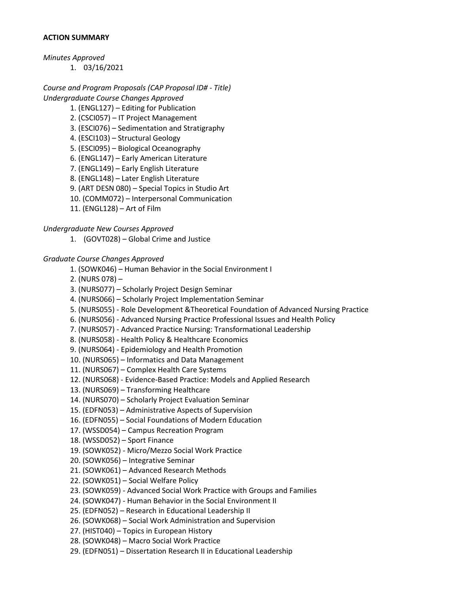#### **ACTION SUMMARY**

*Minutes Approved* 

1. 03/16/2021

*Course and Program Proposals (CAP Proposal ID# - Title) Undergraduate Course Changes Approved* 

- 1. (ENGL127) Editing for Publication
- 2. (CSCI057) IT Project Management
- 3. (ESCI076) Sedimentation and Stratigraphy
- 4. (ESCI103) Structural Geology
- 5. (ESCI095) Biological Oceanography
- 6. (ENGL147) Early American Literature
- 7. (ENGL149) Early English Literature
- 8. (ENGL148) Later English Literature
- 9. (ART DESN 080) Special Topics in Studio Art
- 10. (COMM072) Interpersonal Communication
- 11. (ENGL128) Art of Film

## *Undergraduate New Courses Approved*

1. (GOVT028) – Global Crime and Justice

## *Graduate Course Changes Approved*

- 1. (SOWK046) Human Behavior in the Social Environment I
- 2. (NURS 078) –
- 3. (NURS077) Scholarly Project Design Seminar
- 4. (NURS066) Scholarly Project Implementation Seminar
- 5. (NURS055) Role Development &Theoretical Foundation of Advanced Nursing Practice
- 6. (NURS056) Advanced Nursing Practice Professional Issues and Health Policy
- 7. (NURS057) Advanced Practice Nursing: Transformational Leadership
- 8. (NURS058) Health Policy & Healthcare Economics
- 9. (NURS064) Epidemiology and Health Promotion
- 10. (NURS065) Informatics and Data Management
- 11. (NURS067) Complex Health Care Systems
- 12. (NURS068) Evidence-Based Practice: Models and Applied Research
- 13. (NURS069) Transforming Healthcare
- 14. (NURS070) Scholarly Project Evaluation Seminar
- 15. (EDFN053) Administrative Aspects of Supervision
- 16. (EDFN055) Social Foundations of Modern Education
- 17. (WSSD054) Campus Recreation Program
- 18. (WSSD052) Sport Finance
- 19. (SOWK052) Micro/Mezzo Social Work Practice
- 20. (SOWK056) Integrative Seminar
- 21. (SOWK061) Advanced Research Methods
- 22. (SOWK051) Social Welfare Policy
- 23. (SOWK059) Advanced Social Work Practice with Groups and Families
- 24. (SOWK047) Human Behavior in the Social Environment II
- 25. (EDFN052) Research in Educational Leadership II
- 26. (SOWK068) Social Work Administration and Supervision
- 27. (HIST040) Topics in European History
- 28. (SOWK048) Macro Social Work Practice
- 29. (EDFN051) Dissertation Research II in Educational Leadership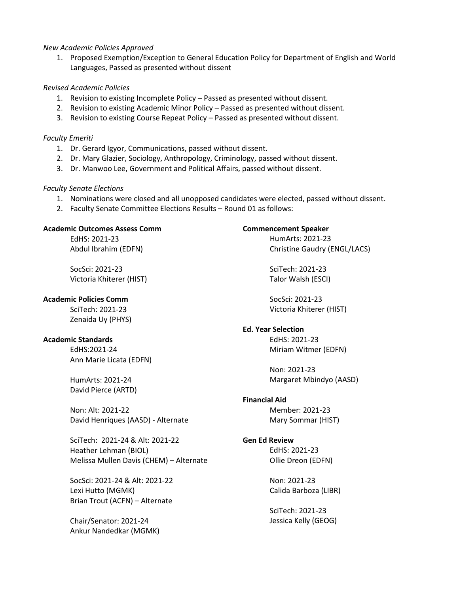#### *New Academic Policies Approved*

1. Proposed Exemption/Exception to General Education Policy for Department of English and World Languages, Passed as presented without dissent

## *Revised Academic Policies*

- 1. Revision to existing Incomplete Policy Passed as presented without dissent.
- 2. Revision to existing Academic Minor Policy Passed as presented without dissent.
- 3. Revision to existing Course Repeat Policy Passed as presented without dissent.

#### *Faculty Emeriti*

- 1. Dr. Gerard Igyor, Communications, passed without dissent.
- 2. Dr. Mary Glazier, Sociology, Anthropology, Criminology, passed without dissent.
- 3. Dr. Manwoo Lee, Government and Political Affairs, passed without dissent.

#### *Faculty Senate Elections*

- 1. Nominations were closed and all unopposed candidates were elected, passed without dissent.
- 2. Faculty Senate Committee Elections Results Round 01 as follows:

#### **Academic Outcomes Assess Comm**

EdHS: 2021-23 Abdul Ibrahim (EDFN)

SocSci: 2021-23 Victoria Khiterer (HIST)

### **Academic Policies Comm**

SciTech: 2021-23 Zenaida Uy (PHYS)

## **Academic Standards**

EdHS:2021-24 Ann Marie Licata (EDFN)

HumArts: 2021-24 David Pierce (ARTD)

Non: Alt: 2021-22 David Henriques (AASD) - Alternate

SciTech: 2021-24 & Alt: 2021-22 Heather Lehman (BIOL) Melissa Mullen Davis (CHEM) – Alternate

SocSci: 2021-24 & Alt: 2021-22 Lexi Hutto (MGMK) Brian Trout (ACFN) – Alternate

Chair/Senator: 2021-24 Ankur Nandedkar (MGMK)

# **Commencement Speaker**

HumArts: 2021-23 Christine Gaudry (ENGL/LACS)

SciTech: 2021-23 Talor Walsh (ESCI)

SocSci: 2021-23 Victoria Khiterer (HIST)

## **Ed. Year Selection**

EdHS: 2021-23 Miriam Witmer (EDFN)

Non: 2021-23 Margaret Mbindyo (AASD)

## **Financial Aid**

Member: 2021-23 Mary Sommar (HIST)

## **Gen Ed Review**

EdHS: 2021-23 Ollie Dreon (EDFN)

Non: 2021-23 Calida Barboza (LIBR)

SciTech: 2021-23 Jessica Kelly (GEOG)